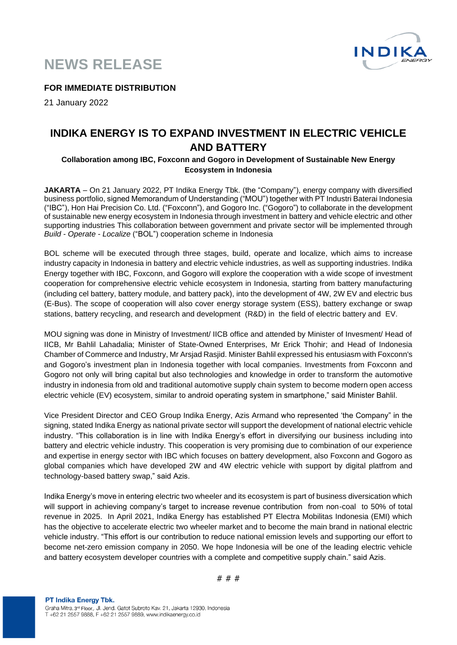



**FOR IMMEDIATE DISTRIBUTION**

21 January 2022

# **INDIKA ENERGY IS TO EXPAND INVESTMENT IN ELECTRIC VEHICLE AND BATTERY**

## **Collaboration among IBC, Foxconn and Gogoro in Development of Sustainable New Energy Ecosystem in Indonesia**

**JAKARTA** – On 21 January 2022, PT Indika Energy Tbk. (the "Company"), energy company with diversified business portfolio, signed Memorandum of Understanding ("MOU") together with PT Industri Baterai Indonesia ("IBC"), Hon Hai Precision Co. Ltd. ("Foxconn"), and Gogoro Inc. ("Gogoro") to collaborate in the development of sustainable new energy ecosystem in Indonesia through investment in battery and vehicle electric and other supporting industries This collaboration between government and private sector will be implemented through *Build - Operate - Localize* ("BOL") cooperation scheme in Indonesia

BOL scheme will be executed through three stages, build, operate and localize, which aims to increase industry capacity in Indonesia in battery and electric vehicle industries, as well as supporting industries. Indika Energy together with IBC, Foxconn, and Gogoro will explore the cooperation with a wide scope of investment cooperation for comprehensive electric vehicle ecosystem in Indonesia, starting from battery manufacturing (including cel battery, battery module, and battery pack), into the development of 4W, 2W EV and electric bus (E-Bus). The scope of cooperation will also cover energy storage system (ESS), battery exchange or swap stations, battery recycling, and research and development (R&D) in the field of electric battery and EV.

MOU signing was done in Ministry of Investment/ IICB office and attended by Minister of Invesment/ Head of IICB, Mr Bahlil Lahadalia; Minister of State-Owned Enterprises, Mr Erick Thohir; and Head of Indonesia Chamber of Commerce and Industry, Mr Arsjad Rasjid. Minister Bahlil expressed his entusiasm with Foxconn's and Gogoro's investment plan in Indonesia together with local companies. Investments from Foxconn and Gogoro not only will bring capital but also technologies and knowledge in order to transform the automotive industry in indonesia from old and traditional automotive supply chain system to become modern open access electric vehicle (EV) ecosystem, similar to android operating system in smartphone," said Minister Bahlil.

Vice President Director and CEO Group Indika Energy, Azis Armand who represented 'the Company" in the signing, stated Indika Energy as national private sector will support the development of national electric vehicle industry. "This collaboration is in line with Indika Energy's effort in diversifying our business including into battery and electric vehicle industry. This cooperation is very promising due to combination of our experience and expertise in energy sector with IBC which focuses on battery development, also Foxconn and Gogoro as global companies which have developed 2W and 4W electric vehicle with support by digital platfrom and technology-based battery swap," said Azis.

Indika Energy's move in entering electric two wheeler and its ecosystem is part of business diversication which will support in achieving company's target to increase revenue contribution from non-coal to 50% of total revenue in 2025. In April 2021, Indika Energy has established PT Electra Mobilitas Indonesia (EMI) which has the objective to accelerate electric two wheeler market and to become the main brand in national electric vehicle industry. "This effort is our contribution to reduce national emission levels and supporting our effort to become net-zero emission company in 2050. We hope Indonesia will be one of the leading electric vehicle and battery ecosystem developer countries with a complete and competitive supply chain." said Azis.